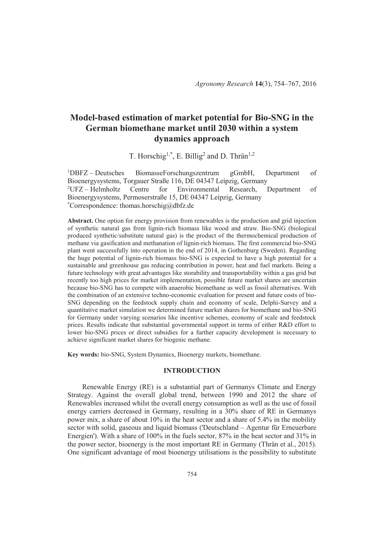# **Model-based estimation of market potential for Bio-SNG in the German biomethane market until 2030 within a system dynamics approach**

T. Horschig<sup>1,\*</sup>, E. Billig<sup>2</sup> and D. Thrän<sup>1,2</sup>

<sup>1</sup>DBFZ – Deutsches BiomasseForschungszentrum gGmbH, Department of Bioenergysystems, Torgauer Straße 116, DE 04347 Leipzig, Germany<br><sup>2</sup>UFZ – Helmholtz Centre for Environmental Research. <sup>2</sup>UFZ – Helmholtz Centre for Environmental Research, Department of Bioenergysystems, Permoserstraße 15, DE 04347 Leipzig, Germany \*Correspondence: thomas.horschig@dbfz.de

**Abstract.** One option for energy provision from renewables is the production and grid injection of synthetic natural gas from lignin-rich biomass like wood and straw. Bio-SNG (biological produced synthetic/substitute natural gas) is the product of the thermochemical production of methane via gasification and methanation of lignin-rich biomass. The first commercial bio-SNG plant went successfully into operation in the end of 2014, in Gothenburg (Sweden). Regarding the huge potential of lignin-rich biomass bio-SNG is expected to have a high potential for a sustainable and greenhouse gas reducing contribution in power, heat and fuel markets. Being a future technology with great advantages like storability and transportability within a gas grid but recently too high prices for market implementation, possible future market shares are uncertain because bio-SNG has to compete with anaerobic biomethane as well as fossil alternatives. With the combination of an extensive techno-economic evaluation for present and future costs of bio-SNG depending on the feedstock supply chain and economy of scale, Delphi-Survey and a quantitative market simulation we determined future market shares for biomethane and bio-SNG for Germany under varying scenarios like incentive schemes, economy of scale and feedstock prices. Results indicate that substantial governmental support in terms of either R&D effort to lower bio-SNG prices or direct subsidies for a further capacity development is necessary to achieve significant market shares for biogenic methane.

**Key words:** bio-SNG, System Dynamics, Bioenergy markets, biomethane.

### **INTRODUCTION**

Renewable Energy (RE) is a substantial part of Germanys Climate and Energy Strategy. Against the overall global trend, between 1990 and 2012 the share of Renewables increased whilst the overall energy consumption as well as the use of fossil energy carriers decreased in Germany, resulting in a 30% share of RE in Germanys power mix, a share of about 10% in the heat sector and a share of 5.4% in the mobility sector with solid, gaseous and liquid biomass ('Deutschland – Agentur für Erneuerbare Energien'). With a share of 100% in the fuels sector, 87% in the heat sector and 31% in the power sector, bioenergy is the most important RE in Germany (Thrän et al., 2015). One significant advantage of most bioenergy utilisations is the possibility to substitute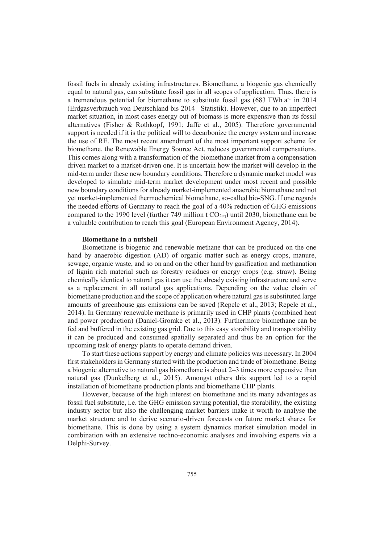fossil fuels in already existing infrastructures. Biomethane, a biogenic gas chemically equal to natural gas, can substitute fossil gas in all scopes of application. Thus, there is a tremendous potential for biomethane to substitute fossil gas  $(683 \text{ TWh a}^{-1} \text{ in } 2014)$ (Erdgasverbrauch von Deutschland bis 2014 | Statistik). However, due to an imperfect market situation, in most cases energy out of biomass is more expensive than its fossil alternatives (Fisher & Rothkopf, 1991; Jaffe et al., 2005). Therefore governmental support is needed if it is the political will to decarbonize the energy system and increase the use of RE. The most recent amendment of the most important support scheme for biomethane, the Renewable Energy Source Act, reduces governmental compensations. This comes along with a transformation of the biomethane market from a compensation driven market to a market-driven one. It is uncertain how the market will develop in the mid-term under these new boundary conditions. Therefore a dynamic market model was developed to simulate mid-term market development under most recent and possible new boundary conditions for already market-implemented anaerobic biomethane and not yet market-implemented thermochemical biomethane, so-called bio-SNG. If one regards the needed efforts of Germany to reach the goal of a 40% reduction of GHG emissions compared to the 1990 level (further 749 million t  $CO_{2eq}$ ) until 2030, biomethane can be a valuable contribution to reach this goal (European Environment Agency, 2014).

#### **Biomethane in a nutshell**

Biomethane is biogenic and renewable methane that can be produced on the one hand by anaerobic digestion (AD) of organic matter such as energy crops, manure, sewage, organic waste, and so on and on the other hand by gasification and methanation of lignin rich material such as forestry residues or energy crops (e.g. straw). Being chemically identical to natural gas it can use the already existing infrastructure and serve as a replacement in all natural gas applications. Depending on the value chain of biomethane production and the scope of application where natural gas is substituted large amounts of greenhouse gas emissions can be saved (Repele et al., 2013; Repele et al., 2014). In Germany renewable methane is primarily used in CHP plants (combined heat and power production) (Daniel-Gromke et al., 2013). Furthermore biomethane can be fed and buffered in the existing gas grid. Due to this easy storability and transportability it can be produced and consumed spatially separated and thus be an option for the upcoming task of energy plants to operate demand driven.

To start these actions support by energy and climate policies was necessary. In 2004 first stakeholders in Germany started with the production and trade of biomethane. Being a biogenic alternative to natural gas biomethane is about 2–3 times more expensive than natural gas (Dunkelberg et al., 2015). Amongst others this support led to a rapid installation of biomethane production plants and biomethane CHP plants.

However, because of the high interest on biomethane and its many advantages as fossil fuel substitute, i.e. the GHG emission saving potential, the storability, the existing industry sector but also the challenging market barriers make it worth to analyse the market structure and to derive scenario-driven forecasts on future market shares for biomethane. This is done by using a system dynamics market simulation model in combination with an extensive techno-economic analyses and involving experts via a Delphi-Survey.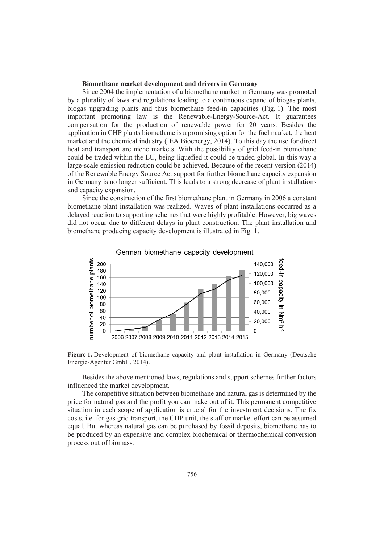# **Biomethane market development and drivers in Germany**

Since 2004 the implementation of a biomethane market in Germany was promoted by a plurality of laws and regulations leading to a continuous expand of biogas plants, biogas upgrading plants and thus biomethane feed-in capacities (Fig. 1). The most important promoting law is the Renewable-Energy-Source-Act. It guarantees compensation for the production of renewable power for 20 years. Besides the application in CHP plants biomethane is a promising option for the fuel market, the heat market and the chemical industry (IEA Bioenergy, 2014). To this day the use for direct heat and transport are niche markets. With the possibility of grid feed-in biomethane could be traded within the EU, being liquefied it could be traded global. In this way a large-scale emission reduction could be achieved. Because of the recent version (2014) of the Renewable Energy Source Act support for further biomethane capacity expansion in Germany is no longer sufficient. This leads to a strong decrease of plant installations and capacity expansion.

Since the construction of the first biomethane plant in Germany in 2006 a constant biomethane plant installation was realized. Waves of plant installations occurred as a delayed reaction to supporting schemes that were highly profitable. However, big waves did not occur due to different delays in plant construction. The plant installation and biomethane producing capacity development is illustrated in Fig. 1.



German biomethane capacity development

Figure 1. Development of biomethane capacity and plant installation in Germany (Deutsche Energie-Agentur GmbH, 2014).

Besides the above mentioned laws, regulations and support schemes further factors influenced the market development.

The competitive situation between biomethane and natural gas is determined by the price for natural gas and the profit you can make out of it. This permanent competitive situation in each scope of application is crucial for the investment decisions. The fix costs, i.e. for gas grid transport, the CHP unit, the staff or market effort can be assumed equal. But whereas natural gas can be purchased by fossil deposits, biomethane has to be produced by an expensive and complex biochemical or thermochemical conversion process out of biomass.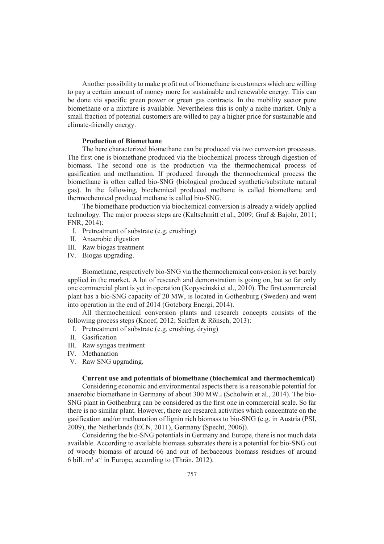Another possibility to make profit out of biomethane is customers which are willing to pay a certain amount of money more for sustainable and renewable energy. This can be done via specific green power or green gas contracts. In the mobility sector pure biomethane or a mixture is available. Nevertheless this is only a niche market. Only a small fraction of potential customers are willed to pay a higher price for sustainable and climate-friendly energy.

### **Production of Biomethane**

The here characterized biomethane can be produced via two conversion processes. The first one is biomethane produced via the biochemical process through digestion of biomass. The second one is the production via the thermochemical process of gasification and methanation. If produced through the thermochemical process the biomethane is often called bio-SNG (biological produced synthetic/substitute natural gas). In the following, biochemical produced methane is called biomethane and thermochemical produced methane is called bio-SNG.

The biomethane production via biochemical conversion is already a widely applied technology. The major process steps are (Kaltschmitt et al., 2009; Graf & Bajohr, 2011; FNR, 2014):

- I. Pretreatment of substrate (e.g. crushing)
- II. Anaerobic digestion
- III. Raw biogas treatment
- IV. Biogas upgrading.

Biomethane, respectively bio-SNG via the thermochemical conversion is yet barely applied in the market. A lot of research and demonstration is going on, but so far only one commercial plant is yet in operation (Kopyscinski et al., 2010). The first commercial plant has a bio-SNG capacity of 20 MW, is located in Gothenburg (Sweden) and went into operation in the end of 2014 (Goteborg Energi, 2014).

All thermochemical conversion plants and research concepts consists of the following process steps (Knoef, 2012; Seiffert & Rönsch, 2013):

I. Pretreatment of substrate (e.g. crushing, drying)

- II. Gasification
- III. Raw syngas treatment
- IV. Methanation
- V. Raw SNG upgrading.

# **Current use and potentials of biomethane (biochemical and thermochemical)**

Considering economic and environmental aspects there is a reasonable potential for anaerobic biomethane in Germany of about 300 MWel (Scholwin et al., 2014). The bio-SNG plant in Gothenburg can be considered as the first one in commercial scale. So far there is no similar plant. However, there are research activities which concentrate on the gasification and/or methanation of lignin rich biomass to bio-SNG (e.g. in Austria (PSI, 2009), the Netherlands (ECN, 2011), Germany (Specht, 2006)).

Considering the bio-SNG potentials in Germany and Europe, there is not much data available. According to available biomass substrates there is a potential for bio-SNG out of woody biomass of around 66 and out of herbaceous biomass residues of around 6 bill.  $m^3 a^{-1}$  in Europe, according to (Thrän, 2012).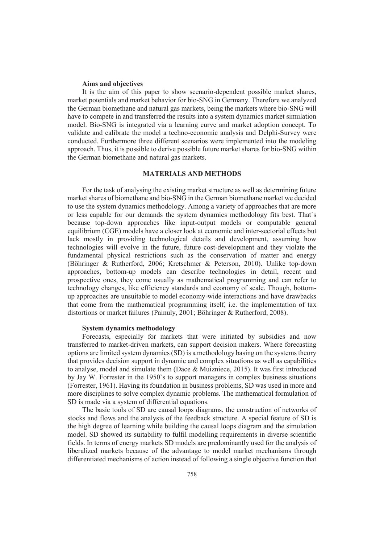#### **Aims and objectives**

It is the aim of this paper to show scenario-dependent possible market shares, market potentials and market behavior for bio-SNG in Germany. Therefore we analyzed the German biomethane and natural gas markets, being the markets where bio-SNG will have to compete in and transferred the results into a system dynamics market simulation model. Bio-SNG is integrated via a learning curve and market adoption concept. To validate and calibrate the model a techno-economic analysis and Delphi-Survey were conducted. Furthermore three different scenarios were implemented into the modeling approach. Thus, it is possible to derive possible future market shares for bio-SNG within the German biomethane and natural gas markets.

### **MATERIALS AND METHODS**

For the task of analysing the existing market structure as well as determining future market shares of biomethane and bio-SNG in the German biomethane market we decided to use the system dynamics methodology. Among a variety of approaches that are more or less capable for our demands the system dynamics methodology fits best. That`s because top-down approaches like input-output models or computable general equilibrium (CGE) models have a closer look at economic and inter-sectorial effects but lack mostly in providing technological details and development, assuming how technologies will evolve in the future, future cost-development and they violate the fundamental physical restrictions such as the conservation of matter and energy (Böhringer & Rutherford, 2006; Kretschmer & Peterson, 2010). Unlike top-down approaches, bottom-up models can describe technologies in detail, recent and prospective ones, they come usually as mathematical programming and can refer to technology changes, like efficiency standards and economy of scale. Though, bottomup approaches are unsuitable to model economy-wide interactions and have drawbacks that come from the mathematical programming itself, i.e. the implementation of tax distortions or market failures (Painuly, 2001; Böhringer & Rutherford, 2008).

### **System dynamics methodology**

Forecasts, especially for markets that were initiated by subsidies and now transferred to market-driven markets, can support decision makers. Where forecasting options are limited system dynamics (SD) is a methodology basing on the systems theory that provides decision support in dynamic and complex situations as well as capabilities to analyse, model and simulate them (Dace & Muizniece, 2015). It was first introduced by Jay W. Forrester in the 1950`s to support managers in complex business situations (Forrester, 1961). Having its foundation in business problems, SD was used in more and more disciplines to solve complex dynamic problems. The mathematical formulation of SD is made via a system of differential equations.

The basic tools of SD are causal loops diagrams, the construction of networks of stocks and flows and the analysis of the feedback structure. A special feature of SD is the high degree of learning while building the causal loops diagram and the simulation model. SD showed its suitability to fulfil modelling requirements in diverse scientific fields. In terms of energy markets SD models are predominantly used for the analysis of liberalized markets because of the advantage to model market mechanisms through differentiated mechanisms of action instead of following a single objective function that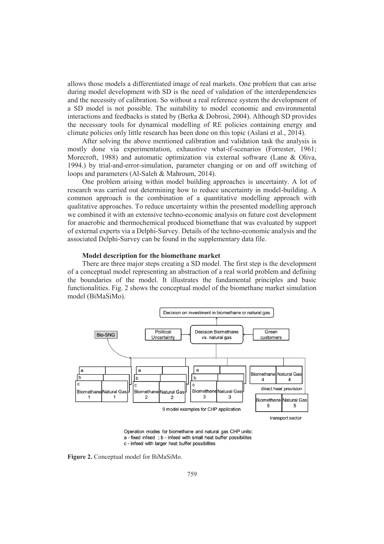allows those models a differentiated image of real markets. One problem that can arise during model development with SD is the need of validation of the interdependencies and the necessity of calibration. So without a real reference system the development of a SD model is not possible. The suitability to model economic and environmental interactions and feedbacks is stated by (Berka & Dobrosi, 2004). Although SD provides the necessary tools for dynamical modelling of RE policies containing energy and climate policies only little research has been done on this topic (Aslani et al., 2014).

After solving the above mentioned calibration and validation task the analysis is mostly done via experimentation, exhaustive what-if-scenarios (Forrester, 1961; Morecroft, 1988) and automatic optimization via external software (Lane & Oliva, 1994.) by trial-and-error-simulation, parameter changing or on and off switching of loops and parameters (Al-Saleh & Mahroum, 2014).

One problem arising within model building approaches is uncertainty. A lot of research was carried out determining how to reduce uncertainty in model-building. A common approach is the combination of a quantitative modelling approach with qualitative approaches. To reduce uncertainty within the presented modelling approach we combined it with an extensive techno-economic analysis on future cost development for anaerobic and thermochemical produced biomethane that was evaluated by support of external experts via a Delphi-Survey. Details of the techno-economic analysis and the associated Delphi-Survey can be found in the supplementary data file.

### **Model description for the biomethane market**

There are three major steps creating a SD model. The first step is the development of a conceptual model representing an abstraction of a real world problem and defining the boundaries of the model. It illustrates the fundamental principles and basic functionalities. Fig. 2 shows the conceptual model of the biomethane market simulation model (BiMaSiMo).



transport sector

Operation modes for biomethane and natural gas CHP units: a - fixed infeed ; b - infeed with small heat buffer possibilites c - infeed with larger heat buffer possibilites

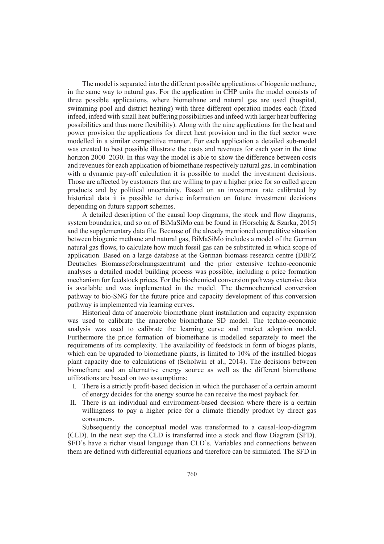The model is separated into the different possible applications of biogenic methane, in the same way to natural gas. For the application in CHP units the model consists of three possible applications, where biomethane and natural gas are used (hospital, swimming pool and district heating) with three different operation modes each (fixed infeed, infeed with small heat buffering possibilities and infeed with larger heat buffering possibilities and thus more flexibility). Along with the nine applications for the heat and power provision the applications for direct heat provision and in the fuel sector were modelled in a similar competitive manner. For each application a detailed sub-model was created to best possible illustrate the costs and revenues for each year in the time horizon 2000–2030. In this way the model is able to show the difference between costs and revenues for each application of biomethane respectively natural gas. In combination with a dynamic pay-off calculation it is possible to model the investment decisions. Those are affected by customers that are willing to pay a higher price for so called green products and by political uncertainty. Based on an investment rate calibrated by historical data it is possible to derive information on future investment decisions depending on future support schemes.

A detailed description of the causal loop diagrams, the stock and flow diagrams, system boundaries, and so on of BiMaSiMo can be found in (Horschig & Szarka, 2015) and the supplementary data file. Because of the already mentioned competitive situation between biogenic methane and natural gas, BiMaSiMo includes a model of the German natural gas flows, to calculate how much fossil gas can be substituted in which scope of application. Based on a large database at the German biomass research centre (DBFZ Deutsches Biomasseforschungszentrum) and the prior extensive techno-economic analyses a detailed model building process was possible, including a price formation mechanism for feedstock prices. For the biochemical conversion pathway extensive data is available and was implemented in the model. The thermochemical conversion pathway to bio-SNG for the future price and capacity development of this conversion pathway is implemented via learning curves.

Historical data of anaerobic biomethane plant installation and capacity expansion was used to calibrate the anaerobic biomethane SD model. The techno-economic analysis was used to calibrate the learning curve and market adoption model. Furthermore the price formation of biomethane is modelled separately to meet the requirements of its complexity. The availability of feedstock in form of biogas plants, which can be upgraded to biomethane plants, is limited to 10% of the installed biogas plant capacity due to calculations of (Scholwin et al., 2014). The decisions between biomethane and an alternative energy source as well as the different biomethane utilizations are based on two assumptions:

- I. There is a strictly profit-based decision in which the purchaser of a certain amount of energy decides for the energy source he can receive the most payback for.
- II. There is an individual and environment-based decision where there is a certain willingness to pay a higher price for a climate friendly product by direct gas consumers.

Subsequently the conceptual model was transformed to a causal-loop-diagram (CLD). In the next step the CLD is transferred into a stock and flow Diagram (SFD). SFD`s have a richer visual language than CLD`s. Variables and connections between them are defined with differential equations and therefore can be simulated. The SFD in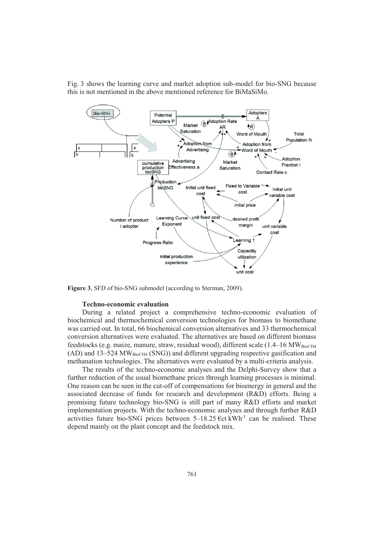

Fig. 3 shows the learning curve and market adoption sub-model for bio-SNG because this is not mentioned in the above mentioned reference for BiMaSiMo.

**Figure 3.** SFD of bio-SNG submodel (according to Sterman, 2009).

#### **Techno-economic evaluation**

During a related project a comprehensive techno-economic evaluation of biochemical and thermochemical conversion technologies for biomass to biomethane was carried out. In total, 66 biochemical conversion alternatives and 33 thermochemical conversion alternatives were evaluated. The alternatives are based on different biomass feedstocks (e.g. maize, manure, straw, residual wood), different scale  $(1.4–16 \text{ MW}_{\text{Bi} \text{O} \text{H}4})$  $(AD)$  and 13–524 MW $_{BiocH4}$  (SNG)) and different upgrading respective gasification and methanation technologies. The alternatives were evaluated by a multi-criteria analysis.

The results of the techno-economic analyses and the Delphi-Survey show that a further reduction of the usual biomethane prices through learning processes is minimal. One reason can be seen in the cut-off of compensations for bioenergy in general and the associated decrease of funds for research and development (R&D) efforts. Being a promising future technology bio-SNG is still part of many R&D efforts and market implementation projects. With the techno-economic analyses and through further R&D activities future bio-SNG prices between  $5-18.25$   $\epsilon$ ct kWh<sup>-1</sup> can be realised. These depend mainly on the plant concept and the feedstock mix.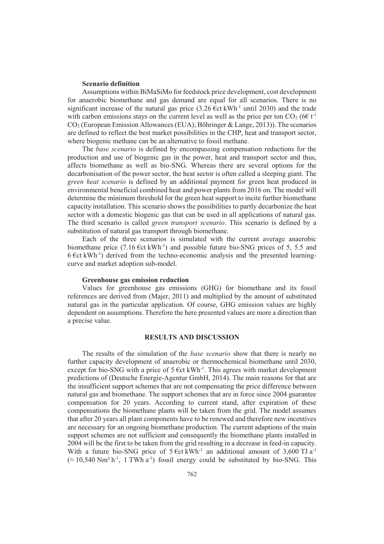#### **Scenario definition**

Assumptions within BiMaSiMo for feedstock price development, cost development for anaerobic biomethane and gas demand are equal for all scenarios. There is no significant increase of the natural gas price  $(3.26 \text{ } \text{etc} \text{ } \text{kWh}^{-1} \text{ } \text{until } 2030)$  and the trade with carbon emissions stays on the current level as well as the price per ton  $CO<sub>2</sub>$  (6 $\epsilon$  t<sup>-1</sup>)  $CO<sub>2</sub>$  (European Emission Allowances (EUA); Böhringer & Lange, 2013)). The scenarios are defined to reflect the best market possibilities in the CHP, heat and transport sector, where biogenic methane can be an alternative to fossil methane.

The *base scenario* is defined by encompassing compensation reductions for the production and use of biogenic gas in the power, heat and transport sector and thus, affects biomethane as well as bio-SNG. Whereas there are several options for the decarbonisation of the power sector, the heat sector is often called a sleeping giant. The *green heat scenario* is defined by an additional payment for green heat produced in environmental beneficial combined heat and power plants from 2016 on. The model will determine the minimum threshold for the green heat support to incite further biomethane capacity installation. This scenario shows the possibilities to partly decarbonize the heat sector with a domestic biogenic gas that can be used in all applications of natural gas. The third scenario is called *green transport scenario*. This scenario is defined by a substitution of natural gas transport through biomethane.

Each of the three scenarios is simulated with the current average anaerobic biomethane price  $(7.16 \text{ } \text{etckWh}^{-1})$  and possible future bio-SNG prices of 5, 5.5 and 6  $\epsilon$ ct kWh<sup>-1</sup>) derived from the techno-economic analysis and the presented learningcurve and market adoption sub-model.

### **Greenhouse gas emission reduction**

Values for greenhouse gas emissions (GHG) for biomethane and its fossil references are derived from (Majer, 2011) and multiplied by the amount of substituted natural gas in the particular application. Of course, GHG emission values are highly dependent on assumptions. Therefore the here presented values are more a direction than a precise value.

### **RESULTS AND DISCUSSION**

The results of the simulation of the *base scenario* show that there is nearly no further capacity development of anaerobic or thermochemical biomethane until 2030, except for bio-SNG with a price of  $5 \text{ } \infty$  kWh<sup>-1</sup>. This agrees with market development predictions of (Deutsche Energie-Agentur GmbH, 2014). The main reasons for that are the insufficient support schemes that are not compensating the price difference between natural gas and biomethane. The support schemes that are in force since 2004 guarantee compensation for 20 years. According to current stand, after expiration of these compensations the biomethane plants will be taken from the grid. The model assumes that after 20 years all plant components have to be renewed and therefore new incentives are necessary for an ongoing biomethane production. The current adaptions of the main support schemes are not sufficient and consequently the biomethane plants installed in 2004 will be the first to be taken from the grid resulting in a decrease in feed-in capacity. With a future bio-SNG price of  $5 \text{ } \text{\&}$  kWh<sup>-1</sup> an additional amount of 3,600 TJ a<sup>-1</sup>  $(z 10,540 \text{ Nm}^3 \text{ h}^{-1}$ , 1 TWh a<sup>-1</sup>) fossil energy could be substituted by bio-SNG. This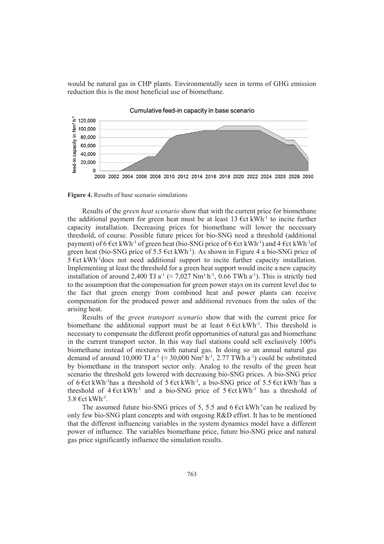would be natural gas in CHP plants. Environmentally seen in terms of GHG emission reduction this is the most beneficial use of biomethane.



**Figure 4.** Results of base scenario simulations

Results of the *green heat scenario* show that with the current price for biomethane the additional payment for green heat must be at least 13  $\epsilon$ ct kWh<sup>-1</sup> to incite further capacity installation. Decreasing prices for biomethane will lower the necessary threshold, of course. Possible future prices for bio-SNG need a threshold (additional payment) of 6  $\epsilon$ ct kWh<sup>-1</sup> of green heat (bio-SNG price of 6  $\epsilon$ ct kWh<sup>-1</sup>) and 4  $\epsilon$ ct kWh<sup>-1</sup>of green heat (bio-SNG price of 5.5  $\epsilon$ ct kWh<sup>-1</sup>). As shown in Figure 4 a bio-SNG price of 5 €ct kWh-1does not need additional support to incite further capacity installation. Implementing at least the threshold for a green heat support would incite a new capacity installation of around 2,400 TJ a<sup>-1</sup> ( $\approx$  7,027 Nm<sup>3</sup> h<sup>-1</sup>, 0.66 TWh a<sup>-1</sup>). This is strictly tied to the assumption that the compensation for green power stays on its current level due to the fact that green energy from combined heat and power plants can receive compensation for the produced power and additional revenues from the sales of the arising heat.

Results of the *green transport scenario* show that with the current price for biomethane the additional support must be at least  $6 \text{ } \infty$  kWh<sup>-1</sup>. This threshold is necessary to compensate the different profit opportunities of natural gas and biomethane in the current transport sector. In this way fuel stations could sell exclusively 100% biomethane instead of mixtures with natural gas. In doing so an annual natural gas demand of around 10,000 TJ  $a^{-1}$  ( $\approx$  30,000 Nm<sup>3</sup> h<sup>-1</sup>, 2.77 TWh  $a^{-1}$ ) could be substituted by biomethane in the transport sector only. Analog to the results of the green heat scenario the threshold gets lowered with decreasing bio-SNG prices. A bio-SNG price of 6  $\epsilon$ ct kWh<sup>-1</sup>has a threshold of 5  $\epsilon$ ct kWh<sup>-1</sup>, a bio-SNG price of 5.5  $\epsilon$ ct kWh<sup>-1</sup>has a threshold of  $4 \text{ } \infty$  kWh<sup>-1</sup> and a bio-SNG price of  $5 \text{ } \infty$  kWh<sup>-1</sup> has a threshold of 3.8 €ct kWh<sup>-1</sup>.

The assumed future bio-SNG prices of 5, 5.5 and  $6 \text{ } \infty$  kWh<sup>-1</sup>can be realized by only few bio-SNG plant concepts and with ongoing R&D effort. It has to be mentioned that the different influencing variables in the system dynamics model have a different power of influence. The variables biomethane price, future bio-SNG price and natural gas price significantly influence the simulation results.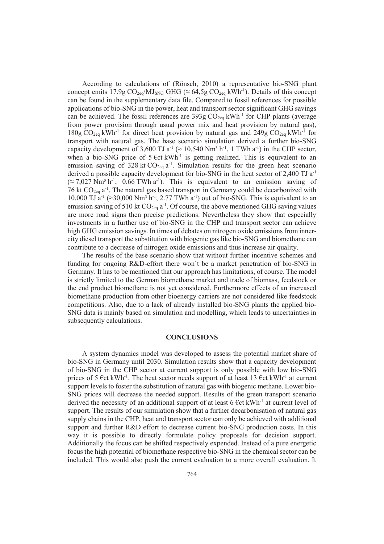According to calculations of (Rönsch, 2010) a representative bio-SNG plant concept emits 17.9g  $CO_{2eq}/MJ_{SNG}$  GHG ( $\approx 64.5g$   $CO_{2eq}$  kWh<sup>-1</sup>). Details of this concept can be found in the supplementary data file. Compared to fossil references for possible applications of bio-SNG in the power, heat and transport sector significant GHG savings can be achieved. The fossil references are  $393g$   $\overline{CO}_{2eq}$  kWh<sup>-1</sup> for CHP plants (average from power provision through usual power mix and heat provision by natural gas), 180g  $CO_{2eq}$  kWh<sup>-1</sup> for direct heat provision by natural gas and 249g  $CO_{2eq}$  kWh<sup>-1</sup> for transport with natural gas. The base scenario simulation derived a further bio-SNG capacity development of 3,600 TJ  $a^{-1}$  ( $\approx 10,540$  Nm<sup>3</sup> h<sup>-1</sup>, 1 TWh  $a^{-1}$ ) in the CHP sector, when a bio-SNG price of  $5 \text{ } \infty$  kWh<sup>-1</sup> is getting realized. This is equivalent to an emission saving of 328 kt  $CO<sub>2eq</sub> a<sup>-1</sup>$ . Simulation results for the green heat scenario derived a possible capacity development for bio-SNG in the heat sector of 2,400 TJ a<sup>-1</sup>  $(\approx 7.027 \text{ Nm}^3 \text{ h}^{-1}$ , 0.66 TWh a<sup>-1</sup>). This is equivalent to an emission saving of 76 kt  $CO_{2eq}$  a<sup>-1</sup>. The natural gas based transport in Germany could be decarbonized with 10,000 TJ a<sup>-1</sup> (≈30,000 Nm<sup>3</sup> h<sup>-1</sup>, 2.77 TWh a<sup>-1</sup>) out of bio-SNG. This is equivalent to an emission saving of 510 kt  $CO<sub>2eq</sub>$  a<sup>-1</sup>. Of course, the above mentioned GHG saving values are more road signs then precise predictions. Nevertheless they show that especially investments in a further use of bio-SNG in the CHP and transport sector can achieve high GHG emission savings. In times of debates on nitrogen oxide emissions from innercity diesel transport the substitution with biogenic gas like bio-SNG and biomethane can contribute to a decrease of nitrogen oxide emissions and thus increase air quality.

The results of the base scenario show that without further incentive schemes and funding for ongoing R&D-effort there won`t be a market penetration of bio-SNG in Germany. It has to be mentioned that our approach has limitations, of course. The model is strictly limited to the German biomethane market and trade of biomass, feedstock or the end product biomethane is not yet considered. Furthermore effects of an increased biomethane production from other bioenergy carriers are not considered like feedstock competitions. Also, due to a lack of already installed bio-SNG plants the applied bio-SNG data is mainly based on simulation and modelling, which leads to uncertainties in subsequently calculations.

### **CONCLUSIONS**

A system dynamics model was developed to assess the potential market share of bio-SNG in Germany until 2030. Simulation results show that a capacity development of bio-SNG in the CHP sector at current support is only possible with low bio-SNG prices of 5  $\text{ect }$  kWh<sup>-1</sup>. The heat sector needs support of at least 13  $\text{ect }$  kWh<sup>-1</sup> at current support levels to foster the substitution of natural gas with biogenic methane. Lower bio-SNG prices will decrease the needed support. Results of the green transport scenario derived the necessity of an additional support of at least  $6 \text{ } \infty$  kWh<sup>-1</sup> at current level of support. The results of our simulation show that a further decarbonisation of natural gas supply chains in the CHP, heat and transport sector can only be achieved with additional support and further R&D effort to decrease current bio-SNG production costs. In this way it is possible to directly formulate policy proposals for decision support. Additionally the focus can be shifted respectively expended. Instead of a pure energetic focus the high potential of biomethane respective bio-SNG in the chemical sector can be included. This would also push the current evaluation to a more overall evaluation. It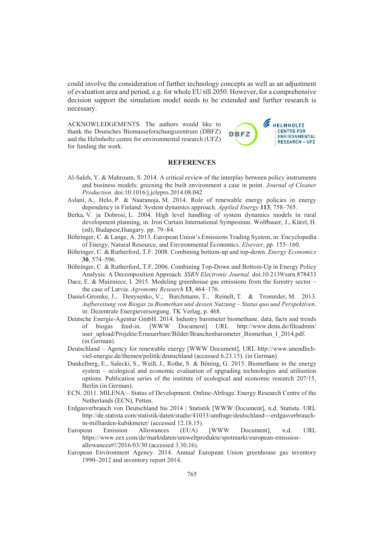could involve the consideration of further technology concepts as well as an adjustment of evaluation area and period, e.g. for whole EU till 2050. However, for a comprehensive decision support the simulation model needs to be extended and further research is necessary.

ACKNOWLEDGEMENTS. The authors would like to thank the Deutsches Biomasseforschungszentrum (DBFZ) and the Helmholtz centre for environmental research (UFZ) for funding the work.



#### **REFERENCES**

- Al-Saleh, Y. & Mahroum, S. 2014. A critical review of the interplay between policy instruments and business models: greening the built environment a case in point. *Journal of Cleaner Production*. doi:10.1016/j.jclepro.2014.08.042
- Aslani, A., Helo, P. & Naaranoja, M. 2014. Role of renewable energy policies in energy dependency in Finland: System dynamics approach. *Applied Energy* **113**, 758–765.
- Berka, V. ja Dobrosi, L. 2004. High level handling of system dynamics models in rural development planning, in: Iron Curtain International Symposium. Wolfbauer, J., Kürzl, H. (ed), Budapest,Hungary. pp. 79–84.
- Böhringer, C. & Lange, A. 2013. European Union's Emissions Trading System, in: Encyclopedia of Energy, Natural Resource, and Environmental Economics. *Elsevier*, pp. 155–160.
- Böhringer, C. & Rutherford, T.F. 2008. Combining bottom-up and top-down. *Energy Economics* **30**, 574–596.
- Böhringer, C. & Rutherford, T.F. 2006. Combining Top-Down and Bottom-Up in Energy Policy Analysis: A Decomposition Approach. *SSRN Electronic Journal*. doi:10.2139/ssrn.878433
- Dace, E. & Muizniece, I. 2015. Modeling greenhouse gas emissions from the forestry sector the case of Latvia. *Agronomy Research* **13**, 464–176.
- Daniel-Gromke, J., Denysenko, V., Barchmann, T., Reinelt, T. & Trommler, M. 2013. *Aufbereitung von Biogas zu Biomethan und dessen Nutzung – Status quo und Perspektiven*. in: Dezentrale Energieversorgung. TK Verlag, p. 468.
- Deutsche Energie-Agentur GmbH. 2014. Industry barometer biomethane. data, facts and trends of biogas feed-in. [WWW Document] URL http://www.dena.de/fileadmin/ user\_upload/Projekte/Erneuerbare/Bilder/Branchenbarometer\_Biomethan\_I\_2014.pdf. (in German).
- Deutschland Agency for renewable energy [WWW Document], URL http://www.unendlichviel-energie.de/themen/politik/deutschland (accessed 6.23.15). (in German)
- Dunkelberg, E., Salecki, S., Weiß, J., Rothe, S. & Böning, G. 2015. Biomethane in the energy system – ecological and economic evaluation of upgrading technologies and utilisation options. Publication series of the institute of ecological and economic research 207/15, Berlin (in German).
- ECN. 2011. MILENA Status of Development. Online-Abfrage. Energy Research Centre of the Netherlands (ECN), Petten.
- Erdgasverbrauch von Deutschland bis 2014 | Statistik [WWW Document], n.d. Statista. URL http://de.statista.com/statistik/daten/studie/41033/umfrage/deutschland---erdgasverbrauchin-milliarden-kubikmeter/ (accessed 12.18.15).
- European Emission Allowances (EUA) [WWW Document], n.d. URL https://www.eex.com/de/marktdaten/umweltprodukte/spotmarkt/european-emissionallowances#!/2016/03/30 (accessed 3.30.16).
- European Environment Agency. 2014. Annual European Union greenhouse gas inventory 1990–2012 and inventory report 2014.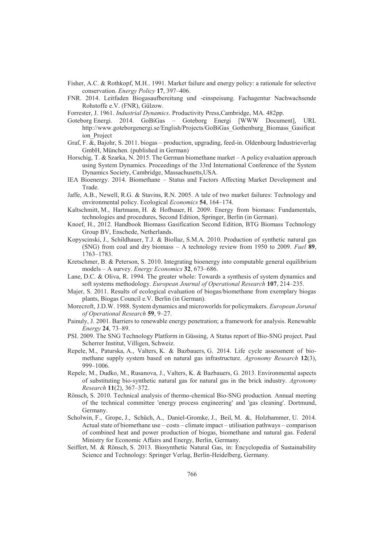- Fisher, A.C. & Rothkopf, M.H.. 1991. Market failure and energy policy: a rationale for selective conservation. *Energy Policy* **17**, 397–406.
- FNR. 2014. Leitfaden Biogasaufbereitung und -einspeisung. Fachagentur Nachwachsende Rohstoffe e.V. (FNR), Gülzow.
- Forrester, J. 1961. *Industrial Dynamics*. Productivity Press,Cambridge, MA. 482pp.
- Goteborg Energi. 2014. GoBiGas Goteborg Energi [WWW Document], URL http://www.goteborgenergi.se/English/Projects/GoBiGas\_Gothenburg\_Biomass\_Gasificat ion\_Project
- Graf, F. &, Bajohr, S. 2011. biogas production, upgrading, feed-in. Oldenbourg Industrieverlag GmbH, München. (published in German)
- Horschig, T. & Szarka, N. 2015. The German biomethane market A policy evaluation approach using System Dynamics. Proceedings of the 33rd International Conference of the System Dynamics Society, Cambridge, Massachusetts,USA.
- IEA Bioenergy. 2014. Biomethane Status and Factors Affecting Market Development and Trade.
- Jaffe, A.B., Newell, R.G. & Stavins, R.N. 2005. A tale of two market failures: Technology and environmental policy. Ecological *Economics* **54**, 164–174.
- Kaltschmitt, M., Hartmann, H. & Hofbauer, H. 2009. Energy from biomass: Fundamentals, technologies and procedures, Second Edition, Springer, Berlin (in German).
- Knoef, H., 2012. Handbook Biomass Gasification Second Edition, BTG Biomass Technology Group BV, Enschede, Netherlands.
- Kopyscinski, J., Schildhauer, T.J. & Biollaz, S.M.A. 2010. Production of synthetic natural gas (SNG) from coal and dry biomass – A technology review from 1950 to 2009. *Fuel* **89**, 1763–1783.
- Kretschmer, B. & Peterson, S. 2010. Integrating bioenergy into computable general equilibrium models – A survey. *Energy Economics* **32**, 673–686.
- Lane, D.C. & Oliva, R. 1994. The greater whole: Towards a synthesis of system dynamics and soft systems methodology. *European Journal of Operational Research* **107**, 214–235.
- Majer, S. 2011. Results of ecological evaluation of biogas/biomethane from exemplary biogas plants, Biogas Council e.V. Berlin (in German).
- Morecroft, J.D.W. 1988. System dynamics and microworlds for policymakers. *European Jorunal of Operational Research* **59**, 9–27.
- Painuly, J. 2001. Barriers to renewable energy penetration; a framework for analysis. Renewable *Energy* **24**, 73–89.
- PSI. 2009. The SNG Technology Platform in Güssing, A Status report of Bio-SNG project. Paul Scherrer Institut, Villigen, Schweiz.
- Repele, M., Paturska, A., Valters, K. & Bazbauers, G. 2014. Life cycle assessment of biomethane supply system based on natural gas infrastructure. *Agronomy Research* **12**(3), 999–1006.
- Repele, M., Dudko, M., Rusanova, J., Valters, K. & Bazbauers, G. 2013. Environmental aspects of substituting bio-synthetic natural gas for natural gas in the brick industry. *Agronomy Research* **11**(2), 367–372.
- Rönsch, S. 2010. Technical analysis of thermo-chemical Bio-SNG production. Annual meeting of the technical committee 'energy process engineering' and 'gas cleaning'. Dortmund, Germany.
- Scholwin, F., Grope, J., Schüch, A., Daniel-Gromke, J., Beil, M. &, Holzhammer, U. 2014. Actual state of biomethane use – costs – climate impact – utilisation pathways – comparison of combined heat and power production of biogas, biomethane and natural gas. Federal Ministry for Economic Affairs and Energy, Berlin, Germany.
- Seiffert, M. & Rönsch, S. 2013. Biosynthetic Natural Gas, in: Encyclopedia of Sustainability Science and Technology: Springer Verlag, Berlin-Heidelberg, Germany.